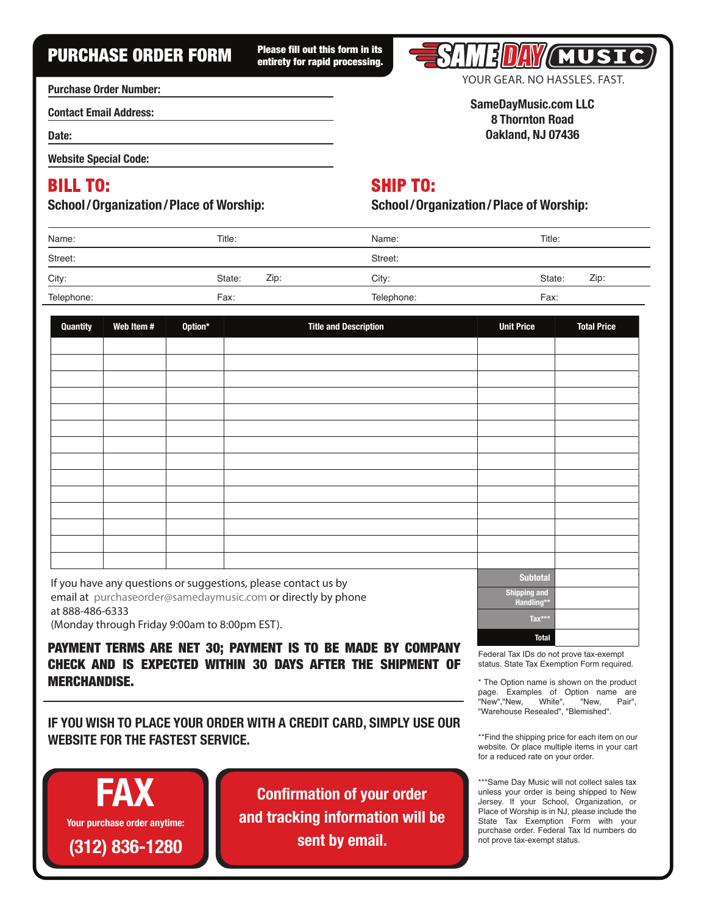# PURCHASE ORDER FORM Please fill out this form in its

entirety for rapid processing.



**YOUR GEAR. NO HASSLES. FAST.**

**SameDayMusic.com LLC 8 Thornton Road Oakland, NJ 07436**

**Purchase Order Number:**

**Contact Email Address:**

**Date:**

**Website Special Code:**

## **BILL TO:**

#### **School/Organization/Place of Worship:**

**SHIP TO:**

**School/Organization/Place of Worship:**

| Name:      | Title: |      | Name:      | Title: |      |
|------------|--------|------|------------|--------|------|
| Street:    |        |      | Street:    |        |      |
| City:      | State: | Zip: | City:      | State: | Zip: |
| Telephone: | Fax:   |      | Telephone: | Fax:   |      |

| <b>Quantity</b>             | Web Item #    | Option* | <b>Title and Description</b>                                                                  | <b>Unit Price</b> | <b>Total Price</b> |
|-----------------------------|---------------|---------|-----------------------------------------------------------------------------------------------|-------------------|--------------------|
|                             |               |         |                                                                                               |                   |                    |
|                             |               |         |                                                                                               |                   |                    |
|                             |               |         |                                                                                               |                   |                    |
|                             |               |         |                                                                                               |                   |                    |
|                             |               |         |                                                                                               |                   |                    |
|                             |               |         |                                                                                               |                   |                    |
|                             |               |         |                                                                                               |                   |                    |
|                             |               |         |                                                                                               |                   |                    |
|                             |               |         |                                                                                               |                   |                    |
|                             |               |         |                                                                                               |                   |                    |
|                             |               |         |                                                                                               |                   |                    |
|                             |               |         |                                                                                               |                   |                    |
|                             |               |         |                                                                                               |                   |                    |
|                             |               |         |                                                                                               |                   |                    |
| $\sim$ $\sim$ $\sim$ $\sim$ | $\sim$ $\sim$ |         | the state of the state of the state of<br>the contract of the contract of the contract of the | <b>Subtotal</b>   |                    |

If you have any questions or suggestions, please contact us by email at purchaseorder@samedaymusic.com or directly by phone at **888-486-6333** (Monday through Friday 9:00am to 8:00pm EST).

PAYMENT TERMS ARE NET 30; PAYMENT IS TO BE MADE BY COMPANY CHECK AND IS EXPECTED WITHIN 30 DAYS AFTER THE SHIPMENT OF MERCHANDISE.

**IF YOU WISH TO PLACE YOUR ORDER WITH A CREDIT CARD, SIMPLY USE OUR WEBSITE FOR THE FASTEST SERVICE.**

Y **Your purchase order anytime: FAX (312) 836-1280**

**Confirmation of your order and tracking information will be sent by email.**

| <b>Subtotal</b>                   |
|-----------------------------------|
| <b>Shipping and</b><br>Handling** |
| Tax***                            |
| <b>Total</b>                      |

Federal Tax IDs do not prove tax-exempt status. State Tax Exemption Form required.

\* The Option name is shown on the product page. Examples of Option name are "New","New, White", "New, Pair", "Warehouse Resealed", "Blemished".

\*\*Find the shipping price for each item on our website. Or place multiple items in your cart for a reduced rate on your order.

\*\*\*Same Day Music will not collect sales tax unless your order is being shipped to New Jersey. If your School, Organization, or Place of Worship is in NJ, please include the State Tax Exemption Form with your purchase order. Federal Tax Id numbers do not prove tax-exempt status.